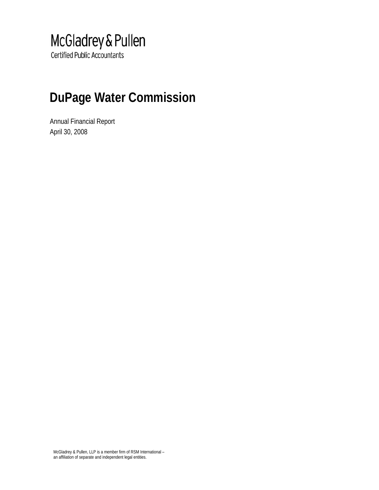# McGladrey & Pullen

**Certified Public Accountants** 

# **DuPage Water Commission**

Annual Financial Report April 30, 2008

McGladrey & Pullen, LLP is a member firm of RSM International – an affiliation of separate and independent legal entities.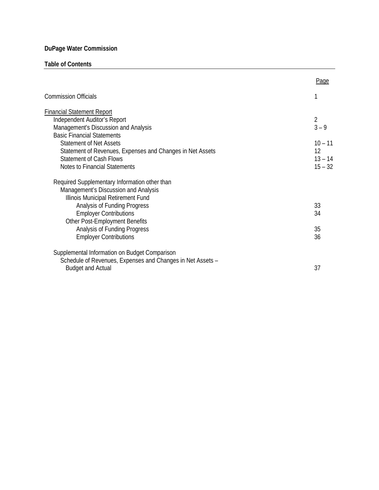## **Table of Contents**

|                                                                      | Page                      |
|----------------------------------------------------------------------|---------------------------|
| <b>Commission Officials</b>                                          |                           |
| <b>Financial Statement Report</b>                                    |                           |
| Independent Auditor's Report<br>Management's Discussion and Analysis | $\overline{2}$<br>$3 - 9$ |
| <b>Basic Financial Statements</b>                                    |                           |
| <b>Statement of Net Assets</b>                                       | $10 - 11$                 |
| Statement of Revenues, Expenses and Changes in Net Assets            | 12                        |
| <b>Statement of Cash Flows</b>                                       | $13 - 14$                 |
| Notes to Financial Statements                                        | $15 - 32$                 |
| Required Supplementary Information other than                        |                           |
| Management's Discussion and Analysis                                 |                           |
| Illinois Municipal Retirement Fund                                   |                           |
| Analysis of Funding Progress                                         | 33                        |
| <b>Employer Contributions</b>                                        | 34                        |
| Other Post-Employment Benefits                                       |                           |
| Analysis of Funding Progress                                         | 35                        |
| <b>Employer Contributions</b>                                        | 36                        |
| Supplemental Information on Budget Comparison                        |                           |
| Schedule of Revenues, Expenses and Changes in Net Assets -           |                           |
| <b>Budget and Actual</b>                                             | 37                        |
|                                                                      |                           |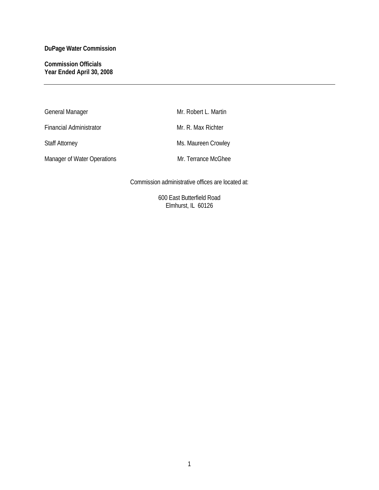## **Commission Officials Year Ended April 30, 2008**

| General Manager             | Mr. Robert L. Martin |
|-----------------------------|----------------------|
| Financial Administrator     | Mr. R. Max Richter   |
| <b>Staff Attorney</b>       | Ms. Maureen Crowley  |
| Manager of Water Operations | Mr. Terrance McGhee  |

Commission administrative offices are located at:

600 East Butterfield Road Elmhurst, IL 60126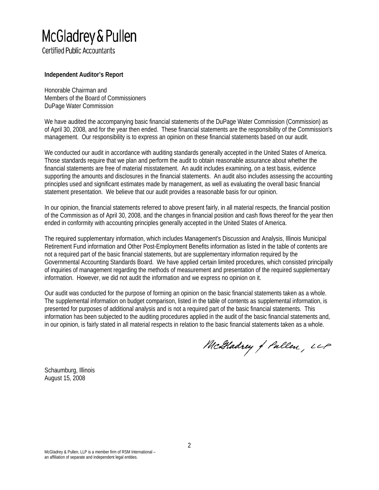# McGladrey & Pullen

**Certified Public Accountants** 

## **Independent Auditor's Report**

Honorable Chairman and Members of the Board of Commissioners DuPage Water Commission

We have audited the accompanying basic financial statements of the DuPage Water Commission (Commission) as of April 30, 2008, and for the year then ended. These financial statements are the responsibility of the Commission's management. Our responsibility is to express an opinion on these financial statements based on our audit.

We conducted our audit in accordance with auditing standards generally accepted in the United States of America. Those standards require that we plan and perform the audit to obtain reasonable assurance about whether the financial statements are free of material misstatement. An audit includes examining, on a test basis, evidence supporting the amounts and disclosures in the financial statements. An audit also includes assessing the accounting principles used and significant estimates made by management, as well as evaluating the overall basic financial statement presentation. We believe that our audit provides a reasonable basis for our opinion.

In our opinion, the financial statements referred to above present fairly, in all material respects, the financial position of the Commission as of April 30, 2008, and the changes in financial position and cash flows thereof for the year then ended in conformity with accounting principles generally accepted in the United States of America.

The required supplementary information, which includes Management's Discussion and Analysis, Illinois Municipal Retirement Fund information and Other Post-Employment Benefits information as listed in the table of contents are not a required part of the basic financial statements, but are supplementary information required by the Governmental Accounting Standards Board. We have applied certain limited procedures, which consisted principally of inquiries of management regarding the methods of measurement and presentation of the required supplementary information. However, we did not audit the information and we express no opinion on it.

Our audit was conducted for the purpose of forming an opinion on the basic financial statements taken as a whole. The supplemental information on budget comparison, listed in the table of contents as supplemental information, is presented for purposes of additional analysis and is not a required part of the basic financial statements. This information has been subjected to the auditing procedures applied in the audit of the basic financial statements and, in our opinion, is fairly stated in all material respects in relation to the basic financial statements taken as a whole.

McGladrey of Pullen, LLP

Schaumburg, Illinois August 15, 2008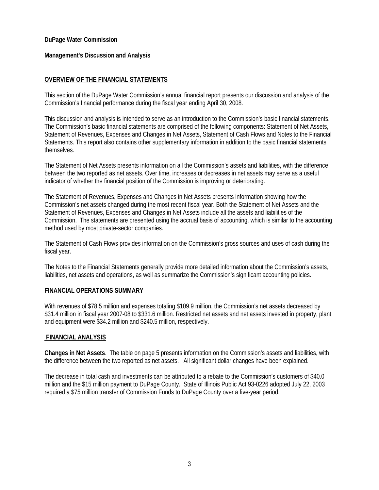#### **Management's Discussion and Analysis**

## **OVERVIEW OF THE FINANCIAL STATEMENTS**

This section of the DuPage Water Commission's annual financial report presents our discussion and analysis of the Commission's financial performance during the fiscal year ending April 30, 2008.

This discussion and analysis is intended to serve as an introduction to the Commission's basic financial statements. The Commission's basic financial statements are comprised of the following components: Statement of Net Assets, Statement of Revenues, Expenses and Changes in Net Assets, Statement of Cash Flows and Notes to the Financial Statements. This report also contains other supplementary information in addition to the basic financial statements themselves.

The Statement of Net Assets presents information on all the Commission's assets and liabilities, with the difference between the two reported as net assets. Over time, increases or decreases in net assets may serve as a useful indicator of whether the financial position of the Commission is improving or deteriorating.

The Statement of Revenues, Expenses and Changes in Net Assets presents information showing how the Commission's net assets changed during the most recent fiscal year. Both the Statement of Net Assets and the Statement of Revenues, Expenses and Changes in Net Assets include all the assets and liabilities of the Commission. The statements are presented using the accrual basis of accounting, which is similar to the accounting method used by most private-sector companies.

The Statement of Cash Flows provides information on the Commission's gross sources and uses of cash during the fiscal year.

The Notes to the Financial Statements generally provide more detailed information about the Commission's assets, liabilities, net assets and operations, as well as summarize the Commission's significant accounting policies.

#### **FINANCIAL OPERATIONS SUMMARY**

With revenues of \$78.5 million and expenses totaling \$109.9 million, the Commission's net assets decreased by \$31.4 million in fiscal year 2007-08 to \$331.6 million. Restricted net assets and net assets invested in property, plant and equipment were \$34.2 million and \$240.5 million, respectively.

#### **FINANCIAL ANALYSIS**

**Changes in Net Assets**. The table on page 5 presents information on the Commission's assets and liabilities, with the difference between the two reported as net assets. All significant dollar changes have been explained.

The decrease in total cash and investments can be attributed to a rebate to the Commission's customers of \$40.0 million and the \$15 million payment to DuPage County. State of Illinois Public Act 93-0226 adopted July 22, 2003 required a \$75 million transfer of Commission Funds to DuPage County over a five-year period.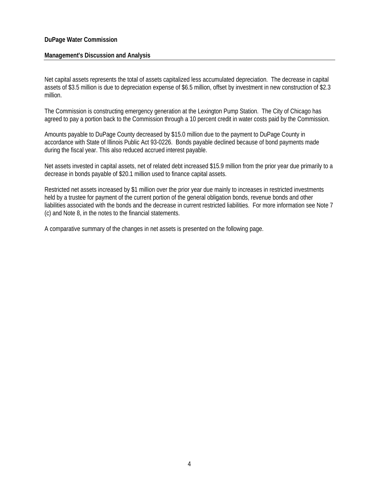#### **Management's Discussion and Analysis**

Net capital assets represents the total of assets capitalized less accumulated depreciation. The decrease in capital assets of \$3.5 million is due to depreciation expense of \$6.5 million, offset by investment in new construction of \$2.3 million.

The Commission is constructing emergency generation at the Lexington Pump Station. The City of Chicago has agreed to pay a portion back to the Commission through a 10 percent credit in water costs paid by the Commission.

Amounts payable to DuPage County decreased by \$15.0 million due to the payment to DuPage County in accordance with State of Illinois Public Act 93-0226. Bonds payable declined because of bond payments made during the fiscal year. This also reduced accrued interest payable.

Net assets invested in capital assets, net of related debt increased \$15.9 million from the prior year due primarily to a decrease in bonds payable of \$20.1 million used to finance capital assets.

Restricted net assets increased by \$1 million over the prior year due mainly to increases in restricted investments held by a trustee for payment of the current portion of the general obligation bonds, revenue bonds and other liabilities associated with the bonds and the decrease in current restricted liabilities. For more information see Note 7 (c) and Note 8, in the notes to the financial statements.

A comparative summary of the changes in net assets is presented on the following page.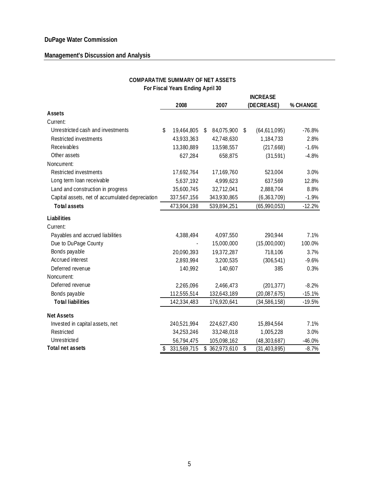## **Management's Discussion and Analysis**

|                                                 | For Fiscal Years Ending April 30 |                   |                      |          |
|-------------------------------------------------|----------------------------------|-------------------|----------------------|----------|
|                                                 |                                  |                   | <b>INCREASE</b>      |          |
|                                                 | 2008                             | 2007              | (DECREASE)           | % CHANGE |
| Assets                                          |                                  |                   |                      |          |
| Current:                                        |                                  |                   |                      |          |
| Unrestricted cash and investments               | \$<br>19,464,805                 | \$<br>84,075,900  | \$<br>(64, 611, 095) | $-76.8%$ |
| Restricted investments                          | 43,933,363                       | 42,748,630        | 1,184,733            | 2.8%     |
| Receivables                                     | 13,380,889                       | 13,598,557        | (217, 668)           | $-1.6%$  |
| Other assets                                    | 627,284                          | 658,875           | (31,591)             | $-4.8%$  |
| Noncurrent:                                     |                                  |                   |                      |          |
| Restricted investments                          | 17,692,764                       | 17,169,760        | 523,004              | 3.0%     |
| Long term loan receivable                       | 5,637,192                        | 4,999,623         | 637,569              | 12.8%    |
| Land and construction in progress               | 35,600,745                       | 32,712,041        | 2,888,704            | 8.8%     |
| Capital assets, net of accumulated depreciation | 337,567,156                      | 343,930,865       | (6, 363, 709)        | $-1.9%$  |
| <b>Total assets</b>                             | 473,904,198                      | 539,894,251       | (65,990,053)         | $-12.2%$ |
| Liabilities                                     |                                  |                   |                      |          |
| Current:                                        |                                  |                   |                      |          |
| Payables and accrued liabilities                | 4,388,494                        | 4,097,550         | 290,944              | 7.1%     |
| Due to DuPage County                            |                                  | 15,000,000        | (15,000,000)         | 100.0%   |
| Bonds payable                                   | 20,090,393                       | 19,372,287        | 718,106              | 3.7%     |
| Accrued interest                                | 2,893,994                        | 3,200,535         | (306, 541)           | $-9.6%$  |
| Deferred revenue                                | 140,992                          | 140,607           | 385                  | 0.3%     |
| Noncurrent:                                     |                                  |                   |                      |          |
| Deferred revenue                                | 2,265,096                        | 2,466,473         | (201, 377)           | $-8.2%$  |
| Bonds payable                                   | 112,555,514                      | 132,643,189       | (20,087,675)         | $-15.1%$ |
| <b>Total liabilities</b>                        | 142,334,483                      | 176,920,641       | (34, 586, 158)       | $-19.5%$ |
| <b>Net Assets</b>                               |                                  |                   |                      |          |
| Invested in capital assets, net                 | 240,521,994                      | 224,627,430       | 15,894,564           | 7.1%     |
| Restricted                                      | 34,253,246                       | 33,248,018        | 1,005,228            | 3.0%     |
| Unrestricted                                    | 56,794,475                       | 105,098,162       | (48, 303, 687)       | $-46.0%$ |
| Total net assets                                | \$<br>331,569,715                | \$<br>362,973,610 | \$<br>(31, 403, 895) | $-8.7%$  |

#### **COMPARATIVE SUMMARY OF NET ASSETS For Fiscal Years Ending April 30**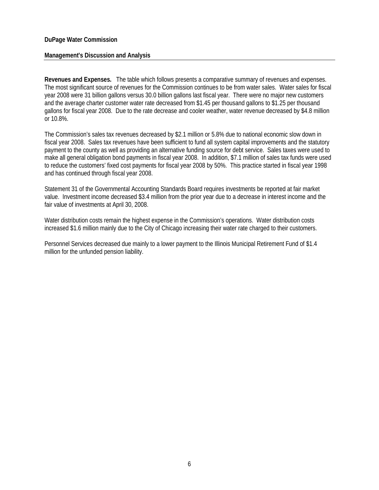#### **Management's Discussion and Analysis**

**Revenues and Expenses.** The table which follows presents a comparative summary of revenues and expenses. The most significant source of revenues for the Commission continues to be from water sales. Water sales for fiscal year 2008 were 31 billion gallons versus 30.0 billion gallons last fiscal year. There were no major new customers and the average charter customer water rate decreased from \$1.45 per thousand gallons to \$1.25 per thousand gallons for fiscal year 2008. Due to the rate decrease and cooler weather, water revenue decreased by \$4.8 million or 10.8%.

The Commission's sales tax revenues decreased by \$2.1 million or 5.8% due to national economic slow down in fiscal year 2008. Sales tax revenues have been sufficient to fund all system capital improvements and the statutory payment to the county as well as providing an alternative funding source for debt service. Sales taxes were used to make all general obligation bond payments in fiscal year 2008. In addition, \$7.1 million of sales tax funds were used to reduce the customers' fixed cost payments for fiscal year 2008 by 50%. This practice started in fiscal year 1998 and has continued through fiscal year 2008.

Statement 31 of the Governmental Accounting Standards Board requires investments be reported at fair market value. Investment income decreased \$3.4 million from the prior year due to a decrease in interest income and the fair value of investments at April 30, 2008.

Water distribution costs remain the highest expense in the Commission's operations. Water distribution costs increased \$1.6 million mainly due to the City of Chicago increasing their water rate charged to their customers.

Personnel Services decreased due mainly to a lower payment to the Illinois Municipal Retirement Fund of \$1.4 million for the unfunded pension liability.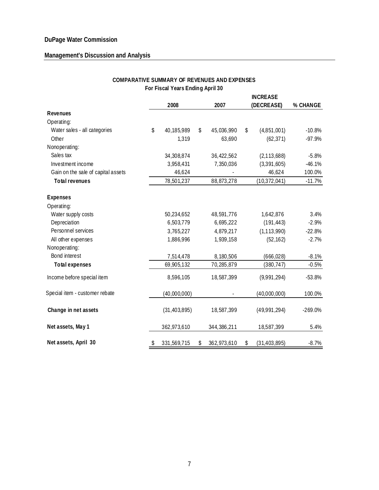## **Management's Discussion and Analysis**

|                                    |    |                |    | <b>INCREASE</b> |    |                |           |
|------------------------------------|----|----------------|----|-----------------|----|----------------|-----------|
|                                    |    | 2008           |    | 2007            |    | (DECREASE)     | % CHANGE  |
| <b>Revenues</b>                    |    |                |    |                 |    |                |           |
| Operating:                         |    |                |    |                 |    |                |           |
| Water sales - all categories       | \$ | 40,185,989     | \$ | 45,036,990      | \$ | (4,851,001)    | $-10.8%$  |
| Other                              |    | 1,319          |    | 63,690          |    | (62, 371)      | $-97.9%$  |
| Nonoperating:                      |    |                |    |                 |    |                |           |
| Sales tax                          |    | 34,308,874     |    | 36, 422, 562    |    | (2, 113, 688)  | $-5.8%$   |
| Investment income                  |    | 3,958,431      |    | 7,350,036       |    | (3,391,605)    | $-46.1%$  |
| Gain on the sale of capital assets |    | 46,624         |    |                 |    | 46,624         | 100.0%    |
| <b>Total revenues</b>              |    | 78,501,237     |    | 88,873,278      |    | (10, 372, 041) | $-11.7%$  |
| <b>Expenses</b>                    |    |                |    |                 |    |                |           |
| Operating:                         |    |                |    |                 |    |                |           |
| Water supply costs                 |    | 50,234,652     |    | 48,591,776      |    | 1,642,876      | 3.4%      |
| Depreciation                       |    | 6,503,779      |    | 6,695,222       |    | (191, 443)     | $-2.9%$   |
| Personnel services                 |    | 3,765,227      |    | 4,879,217       |    | (1, 113, 990)  | $-22.8%$  |
| All other expenses                 |    | 1,886,996      |    | 1,939,158       |    | (52, 162)      | $-2.7%$   |
| Nonoperating:                      |    |                |    |                 |    |                |           |
| Bond interest                      |    | 7,514,478      |    | 8,180,506       |    | (666, 028)     | $-8.1%$   |
| <b>Total expenses</b>              |    | 69,905,132     |    | 70,285,879      |    | (380, 747)     | $-0.5%$   |
| Income before special item         |    | 8,596,105      |    | 18,587,399      |    | (9,991,294)    | $-53.8%$  |
| Special item - customer rebate     |    | (40,000,000)   |    |                 |    | (40,000,000)   | 100.0%    |
| Change in net assets               |    | (31, 403, 895) |    | 18,587,399      |    | (49,991,294)   | $-269.0%$ |
| Net assets, May 1                  |    | 362,973,610    |    | 344, 386, 211   |    | 18,587,399     | 5.4%      |
| Net assets, April 30               | \$ | 331,569,715    | \$ | 362,973,610     | \$ | (31, 403, 895) | $-8.7%$   |

## **COMPARATIVE SUMMARY OF REVENUES AND EXPENSES For Fiscal Years Ending April 30**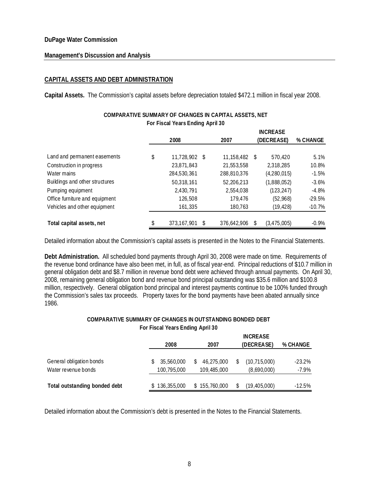#### **Management's Discussion and Analysis**

## **CAPITAL ASSETS AND DEBT ADMINISTRATION**

**Capital Assets.** The Commission's capital assets before depreciation totaled \$472.1 million in fiscal year 2008.

|                                | For Fiscal Years Ending April 30 |   |             |     |                 |          |
|--------------------------------|----------------------------------|---|-------------|-----|-----------------|----------|
|                                |                                  |   |             |     | <b>INCREASE</b> |          |
|                                | 2008                             |   | 2007        |     | (DECREASE)      | % CHANGE |
|                                |                                  |   |             |     |                 |          |
| Land and permanent easements   | \$<br>11,728,902 \$              |   | 11,158,482  | -\$ | 570.420         | 5.1%     |
| Construction in progress       | 23,871,843                       |   | 21,553,558  |     | 2,318,285       | 10.8%    |
| Water mains                    | 284,530,361                      |   | 288,810,376 |     | (4,280,015)     | $-1.5%$  |
| Buildings and other structures | 50,318,161                       |   | 52,206,213  |     | (1,888,052)     | $-3.6\%$ |
| Pumping equipment              | 2,430,791                        |   | 2,554,038   |     | (123, 247)      | $-4.8%$  |
| Office furniture and equipment | 126,508                          |   | 179.476     |     | (52,968)        | $-29.5%$ |
| Vehicles and other equipment   | 161,335                          |   | 180,763     |     | (19, 428)       | $-10.7%$ |
| Total capital assets, net      | 373,167,901                      | S | 376.642.906 |     | (3, 475, 005)   | $-0.9\%$ |

## **COMPARATIVE SUMMARY OF CHANGES IN CAPITAL ASSETS, NET For Fiscal Years Ending April 30**

Detailed information about the Commission's capital assets is presented in the Notes to the Financial Statements.

**Debt Administration.** All scheduled bond payments through April 30, 2008 were made on time. Requirements of the revenue bond ordinance have also been met, in full, as of fiscal year-end. Principal reductions of \$10.7 million in general obligation debt and \$8.7 million in revenue bond debt were achieved through annual payments. On April 30, 2008, remaining general obligation bond and revenue bond principal outstanding was \$35.6 million and \$100.8 million, respectively. General obligation bond principal and interest payments continue to be 100% funded through the Commission's sales tax proceeds. Property taxes for the bond payments have been abated annually since 1986.

## **COMPARATIVE SUMMARY OF CHANGES IN OUTSTANDING BONDED DEBT For Fiscal Years Ending April 30**

|                               |               |               | <b>INCREASE</b> |           |
|-------------------------------|---------------|---------------|-----------------|-----------|
|                               | 2008          | 2007          | (DECREASE)      | % CHANGE  |
|                               |               |               |                 |           |
| General obligation bonds      | 35,560,000    | 46,275,000    | (10, 715, 000)  | $-23.2\%$ |
| Water revenue bonds           | 100,795,000   | 109,485,000   | (8,690,000)     | $-7.9\%$  |
|                               |               |               |                 |           |
| Total outstanding bonded debt | \$136,355,000 | \$155,760,000 | (19, 405, 000)  | $-12.5\%$ |

Detailed information about the Commission's debt is presented in the Notes to the Financial Statements.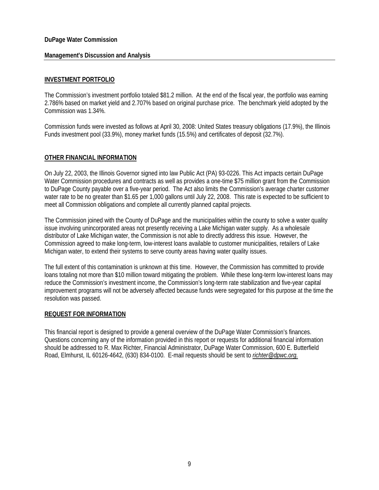#### **Management's Discussion and Analysis**

## **INVESTMENT PORTFOLIO**

The Commission's investment portfolio totaled \$81.2 million. At the end of the fiscal year, the portfolio was earning 2.786% based on market yield and 2.707% based on original purchase price. The benchmark yield adopted by the Commission was 1.34%.

Commission funds were invested as follows at April 30, 2008: United States treasury obligations (17.9%), the Illinois Funds investment pool (33.9%), money market funds (15.5%) and certificates of deposit (32.7%).

#### **OTHER FINANCIAL INFORMATION**

On July 22, 2003, the Illinois Governor signed into law Public Act (PA) 93-0226. This Act impacts certain DuPage Water Commission procedures and contracts as well as provides a one-time \$75 million grant from the Commission to DuPage County payable over a five-year period. The Act also limits the Commission's average charter customer water rate to be no greater than \$1.65 per 1,000 gallons until July 22, 2008. This rate is expected to be sufficient to meet all Commission obligations and complete all currently planned capital projects.

The Commission joined with the County of DuPage and the municipalities within the county to solve a water quality issue involving unincorporated areas not presently receiving a Lake Michigan water supply. As a wholesale distributor of Lake Michigan water, the Commission is not able to directly address this issue. However, the Commission agreed to make long-term, low-interest loans available to customer municipalities, retailers of Lake Michigan water, to extend their systems to serve county areas having water quality issues.

The full extent of this contamination is unknown at this time. However, the Commission has committed to provide loans totaling not more than \$10 million toward mitigating the problem. While these long-term low-interest loans may reduce the Commission's investment income, the Commission's long-term rate stabilization and five-year capital improvement programs will not be adversely affected because funds were segregated for this purpose at the time the resolution was passed.

#### **REQUEST FOR INFORMATION**

This financial report is designed to provide a general overview of the DuPage Water Commission's finances. Questions concerning any of the information provided in this report or requests for additional financial information should be addressed to R. Max Richter, Financial Administrator, DuPage Water Commission, 600 E. Butterfield Road, Elmhurst, IL 60126-4642, (630) 834-0100. E-mail requests should be sent to *richter@dpwc.org.*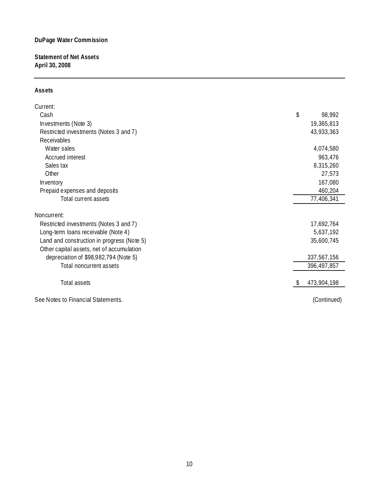**Statement of Net Assets April 30, 2008**

## **Assets**

| Current:                                   |    |             |
|--------------------------------------------|----|-------------|
| Cash                                       | \$ | 98,992      |
| Investments (Note 3)                       |    | 19,365,813  |
| Restricted investments (Notes 3 and 7)     |    | 43,933,363  |
| Receivables                                |    |             |
| Water sales                                |    | 4,074,580   |
| Accrued interest                           |    | 963,476     |
| Sales tax                                  |    | 8,315,260   |
| Other                                      |    | 27,573      |
| Inventory                                  |    | 167,080     |
| Prepaid expenses and deposits              |    | 460,204     |
| Total current assets                       |    | 77,406,341  |
| Noncurrent:                                |    |             |
| Restricted investments (Notes 3 and 7)     |    | 17,692,764  |
| Long-term loans receivable (Note 4)        |    | 5,637,192   |
| Land and construction in progress (Note 5) |    | 35,600,745  |
| Other capital assets, net of accumulation  |    |             |
| depreciation of \$98,982,794 (Note 5)      |    | 337,567,156 |
| Total noncurrent assets                    |    | 396,497,857 |
| Total assets                               | S. | 473,904,198 |
| See Notes to Financial Statements.         |    | (Continued) |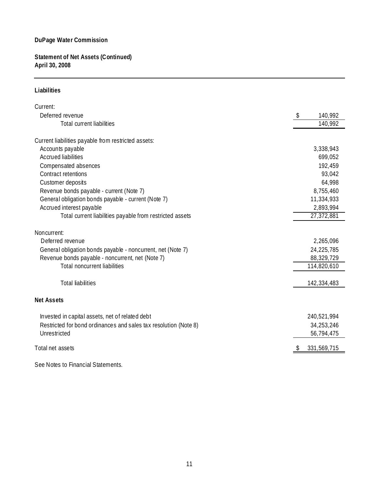**Statement of Net Assets (Continued) April 30, 2008**

#### **Liabilities**

| Current:                                                         |   |             |
|------------------------------------------------------------------|---|-------------|
| Deferred revenue                                                 | S | 140,992     |
| <b>Total current liabilities</b>                                 |   | 140,992     |
| Current liabilities payable from restricted assets:              |   |             |
| Accounts payable                                                 |   | 3,338,943   |
| <b>Accrued liabilities</b>                                       |   | 699,052     |
| Compensated absences                                             |   | 192,459     |
| Contract retentions                                              |   | 93,042      |
| Customer deposits                                                |   | 64,998      |
| Revenue bonds payable - current (Note 7)                         |   | 8,755,460   |
| General obligation bonds payable - current (Note 7)              |   | 11,334,933  |
| Accrued interest payable                                         |   | 2,893,994   |
| Total current liabilities payable from restricted assets         |   | 27,372,881  |
|                                                                  |   |             |
| Noncurrent:                                                      |   |             |
| Deferred revenue                                                 |   | 2,265,096   |
| General obligation bonds payable - noncurrent, net (Note 7)      |   | 24,225,785  |
| Revenue bonds payable - noncurrent, net (Note 7)                 |   | 88,329,729  |
| <b>Total noncurrent liabilities</b>                              |   | 114,820,610 |
| <b>Total liabilities</b>                                         |   | 142,334,483 |
| <b>Net Assets</b>                                                |   |             |
| Invested in capital assets, net of related debt                  |   | 240,521,994 |
| Restricted for bond ordinances and sales tax resolution (Note 8) |   | 34,253,246  |
| Unrestricted                                                     |   | 56,794,475  |
| Total net assets                                                 |   | 331,569,715 |
|                                                                  |   |             |

See Notes to Financial Statements.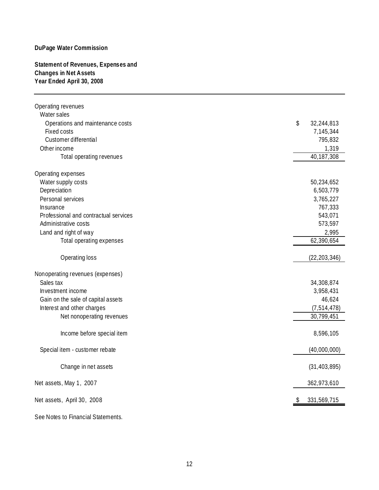## **Statement of Revenues, Expenses and Changes in Net Assets Year Ended April 30, 2008**

| Operating revenues                              |                      |
|-------------------------------------------------|----------------------|
| Water sales                                     |                      |
| Operations and maintenance costs<br>Fixed costs | \$<br>32,244,813     |
| Customer differential                           | 7,145,344<br>795,832 |
| Other income                                    | 1,319                |
| Total operating revenues                        | 40, 187, 308         |
|                                                 |                      |
| Operating expenses                              |                      |
| Water supply costs                              | 50,234,652           |
| Depreciation                                    | 6,503,779            |
| Personal services                               | 3,765,227            |
| Insurance                                       | 767,333              |
| Professional and contractual services           | 543,071              |
| Administrative costs                            | 573,597              |
| Land and right of way                           | 2,995                |
| Total operating expenses                        | 62,390,654           |
| Operating loss                                  | (22, 203, 346)       |
|                                                 |                      |
| Nonoperating revenues (expenses)                |                      |
| Sales tax                                       | 34,308,874           |
| Investment income                               | 3,958,431            |
| Gain on the sale of capital assets              | 46,624               |
| Interest and other charges                      | (7, 514, 478)        |
| Net nonoperating revenues                       | 30,799,451           |
| Income before special item                      | 8,596,105            |
| Special item - customer rebate                  | (40,000,000)         |
| Change in net assets                            | (31, 403, 895)       |
| Net assets, May 1, 2007                         | 362,973,610          |
| Net assets, April 30, 2008                      | 331,569,715          |
| See Notes to Financial Statements.              |                      |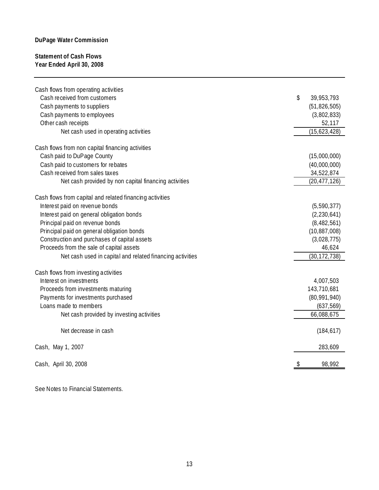## **Statement of Cash Flows Year Ended April 30, 2008**

| Cash flows from operating activities<br>Cash received from customers<br>Cash payments to suppliers<br>Cash payments to employees | \$<br>39,953,793<br>(51, 826, 505)<br>(3,802,833) |
|----------------------------------------------------------------------------------------------------------------------------------|---------------------------------------------------|
| Other cash receipts<br>Net cash used in operating activities                                                                     | 52,117<br>(15,623,428)                            |
| Cash flows from non capital financing activities                                                                                 |                                                   |
| Cash paid to DuPage County                                                                                                       | (15,000,000)                                      |
| Cash paid to customers for rebates                                                                                               | (40,000,000)                                      |
| Cash received from sales taxes                                                                                                   | 34,522,874                                        |
| Net cash provided by non capital financing activities                                                                            | (20, 477, 126)                                    |
| Cash flows from capital and related financing activities                                                                         |                                                   |
| Interest paid on revenue bonds                                                                                                   | (5, 590, 377)                                     |
| Interest paid on general obligation bonds                                                                                        | (2, 230, 641)                                     |
| Principal paid on revenue bonds                                                                                                  | (8,482,561)                                       |
| Principal paid on general obligation bonds                                                                                       | (10, 887, 008)                                    |
| Construction and purchases of capital assets                                                                                     | (3,028,775)                                       |
| Proceeds from the sale of capital assets                                                                                         | 46,624                                            |
| Net cash used in capital and related financing activities                                                                        | (30, 172, 738)                                    |
| Cash flows from investing activities                                                                                             |                                                   |
| Interest on investments                                                                                                          | 4,007,503                                         |
| Proceeds from investments maturing                                                                                               | 143,710,681                                       |
| Payments for investments purchased                                                                                               | (80, 991, 940)                                    |
| Loans made to members                                                                                                            | (637, 569)                                        |
| Net cash provided by investing activities                                                                                        | 66,088,675                                        |
| Net decrease in cash                                                                                                             | (184, 617)                                        |
| Cash, May 1, 2007                                                                                                                | 283,609                                           |
| Cash, April 30, 2008                                                                                                             | \$<br>98,992                                      |

See Notes to Financial Statements.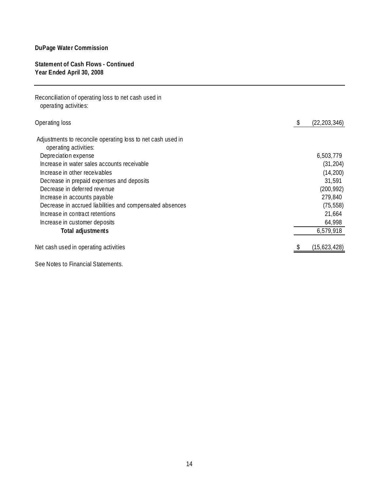## **Statement of Cash Flows - Continued Year Ended April 30, 2008**

| Reconciliation of operating loss to net cash used in<br>operating activities: |                      |
|-------------------------------------------------------------------------------|----------------------|
| Operating loss                                                                | (22, 203, 346)<br>\$ |
| Adjustments to reconcile operating loss to net cash used in                   |                      |
| operating activities:                                                         |                      |
| Depreciation expense                                                          | 6,503,779            |
| Increase in water sales accounts receivable                                   | (31, 204)            |
| Increase in other receivables                                                 | (14, 200)            |
| Decrease in prepaid expenses and deposits                                     | 31,591               |
| Decrease in deferred revenue                                                  | (200, 992)           |
| Increase in accounts payable                                                  | 279,840              |
| Decrease in accrued liabilities and compensated absences                      | (75, 558)            |
| Increase in contract retentions                                               | 21,664               |
| Increase in customer deposits                                                 | 64,998               |
| Total adjustments                                                             | 6,579,918            |
| Net cash used in operating activities                                         | (15,623,428)         |
| See Notes to Financial Statements.                                            |                      |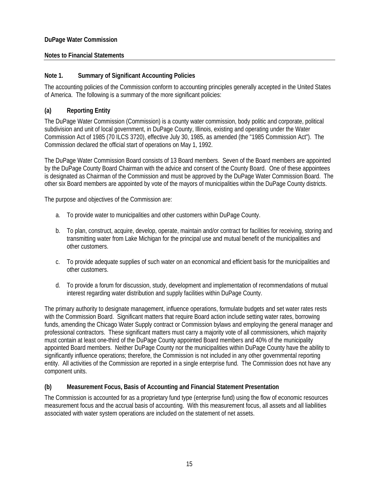## **Notes to Financial Statements**

## **Note 1. Summary of Significant Accounting Policies**

The accounting policies of the Commission conform to accounting principles generally accepted in the United States of America. The following is a summary of the more significant policies:

## **(a) Reporting Entity**

The DuPage Water Commission (Commission) is a county water commission, body politic and corporate, political subdivision and unit of local government, in DuPage County, Illinois, existing and operating under the Water Commission Act of 1985 (70 ILCS 3720), effective July 30, 1985, as amended (the "1985 Commission Act"). The Commission declared the official start of operations on May 1, 1992.

The DuPage Water Commission Board consists of 13 Board members. Seven of the Board members are appointed by the DuPage County Board Chairman with the advice and consent of the County Board. One of these appointees is designated as Chairman of the Commission and must be approved by the DuPage Water Commission Board. The other six Board members are appointed by vote of the mayors of municipalities within the DuPage County districts.

The purpose and objectives of the Commission are:

- a. To provide water to municipalities and other customers within DuPage County.
- b. To plan, construct, acquire, develop, operate, maintain and/or contract for facilities for receiving, storing and transmitting water from Lake Michigan for the principal use and mutual benefit of the municipalities and other customers.
- c. To provide adequate supplies of such water on an economical and efficient basis for the municipalities and other customers.
- d. To provide a forum for discussion, study, development and implementation of recommendations of mutual interest regarding water distribution and supply facilities within DuPage County.

The primary authority to designate management, influence operations, formulate budgets and set water rates rests with the Commission Board. Significant matters that require Board action include setting water rates, borrowing funds, amending the Chicago Water Supply contract or Commission bylaws and employing the general manager and professional contractors. These significant matters must carry a majority vote of all commissioners, which majority must contain at least one-third of the DuPage County appointed Board members and 40% of the municipality appointed Board members. Neither DuPage County nor the municipalities within DuPage County have the ability to significantly influence operations; therefore, the Commission is not included in any other governmental reporting entity. All activities of the Commission are reported in a single enterprise fund. The Commission does not have any component units.

## **(b) Measurement Focus, Basis of Accounting and Financial Statement Presentation**

The Commission is accounted for as a proprietary fund type (enterprise fund) using the flow of economic resources measurement focus and the accrual basis of accounting. With this measurement focus, all assets and all liabilities associated with water system operations are included on the statement of net assets.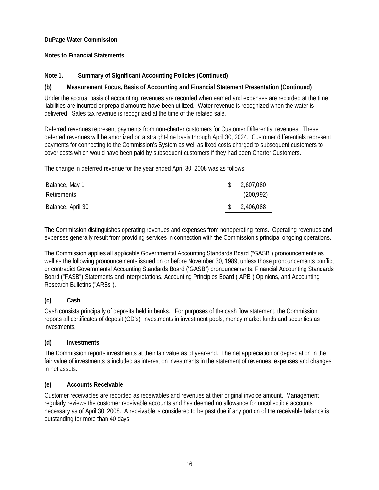## **Notes to Financial Statements**

## **Note 1. Summary of Significant Accounting Policies (Continued)**

## **(b) Measurement Focus, Basis of Accounting and Financial Statement Presentation (Continued)**

Under the accrual basis of accounting, revenues are recorded when earned and expenses are recorded at the time liabilities are incurred or prepaid amounts have been utilized. Water revenue is recognized when the water is delivered. Sales tax revenue is recognized at the time of the related sale.

Deferred revenues represent payments from non-charter customers for Customer Differential revenues. These deferred revenues will be amortized on a straight-line basis through April 30, 2024. Customer differentials represent payments for connecting to the Commission's System as well as fixed costs charged to subsequent customers to cover costs which would have been paid by subsequent customers if they had been Charter Customers.

The change in deferred revenue for the year ended April 30, 2008 was as follows:

| Balance, May 1<br>Retirements | <sup>S</sup>  | 2,607,080<br>(200,992) |
|-------------------------------|---------------|------------------------|
| Balance, April 30             | <sup>\$</sup> | 2,406,088              |

The Commission distinguishes operating revenues and expenses from nonoperating items. Operating revenues and expenses generally result from providing services in connection with the Commission's principal ongoing operations.

The Commission applies all applicable Governmental Accounting Standards Board ("GASB") pronouncements as well as the following pronouncements issued on or before November 30, 1989, unless those pronouncements conflict or contradict Governmental Accounting Standards Board ("GASB") pronouncements: Financial Accounting Standards Board ("FASB") Statements and Interpretations, Accounting Principles Board ("APB") Opinions, and Accounting Research Bulletins ("ARBs").

## **(c) Cash**

Cash consists principally of deposits held in banks. For purposes of the cash flow statement, the Commission reports all certificates of deposit (CD's), investments in investment pools, money market funds and securities as investments.

## **(d) Investments**

The Commission reports investments at their fair value as of year-end. The net appreciation or depreciation in the fair value of investments is included as interest on investments in the statement of revenues, expenses and changes in net assets.

## **(e) Accounts Receivable**

Customer receivables are recorded as receivables and revenues at their original invoice amount. Management regularly reviews the customer receivable accounts and has deemed no allowance for uncollectible accounts necessary as of April 30, 2008. A receivable is considered to be past due if any portion of the receivable balance is outstanding for more than 40 days.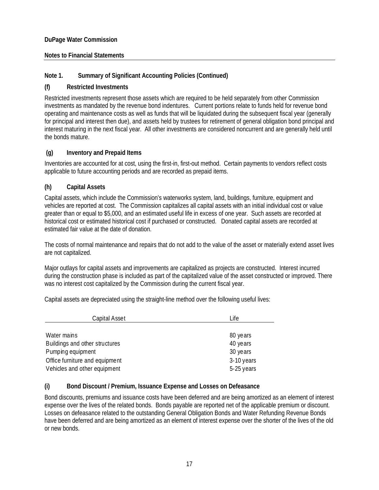## **Notes to Financial Statements**

## **Note 1. Summary of Significant Accounting Policies (Continued)**

## **(f) Restricted Investments**

Restricted investments represent those assets which are required to be held separately from other Commission investments as mandated by the revenue bond indentures. Current portions relate to funds held for revenue bond operating and maintenance costs as well as funds that will be liquidated during the subsequent fiscal year (generally for principal and interest then due), and assets held by trustees for retirement of general obligation bond principal and interest maturing in the next fiscal year. All other investments are considered noncurrent and are generally held until the bonds mature.

## **(g) Inventory and Prepaid Items**

Inventories are accounted for at cost, using the first-in, first-out method. Certain payments to vendors reflect costs applicable to future accounting periods and are recorded as prepaid items.

## **(h) Capital Assets**

Capital assets, which include the Commission's waterworks system, land, buildings, furniture, equipment and vehicles are reported at cost. The Commission capitalizes all capital assets with an initial individual cost or value greater than or equal to \$5,000, and an estimated useful life in excess of one year. Such assets are recorded at historical cost or estimated historical cost if purchased or constructed. Donated capital assets are recorded at estimated fair value at the date of donation.

The costs of normal maintenance and repairs that do not add to the value of the asset or materially extend asset lives are not capitalized.

Major outlays for capital assets and improvements are capitalized as projects are constructed. Interest incurred during the construction phase is included as part of the capitalized value of the asset constructed or improved. There was no interest cost capitalized by the Commission during the current fiscal year.

Capital assets are depreciated using the straight-line method over the following useful lives:

| Capital Asset                  | Life       |
|--------------------------------|------------|
|                                |            |
| Water mains                    | 80 years   |
| Buildings and other structures | 40 years   |
| Pumping equipment              | 30 years   |
| Office furniture and equipment | 3-10 years |
| Vehicles and other equipment   | 5-25 years |

## **(i) Bond Discount / Premium, Issuance Expense and Losses on Defeasance**

Bond discounts, premiums and issuance costs have been deferred and are being amortized as an element of interest expense over the lives of the related bonds. Bonds payable are reported net of the applicable premium or discount. Losses on defeasance related to the outstanding General Obligation Bonds and Water Refunding Revenue Bonds have been deferred and are being amortized as an element of interest expense over the shorter of the lives of the old or new bonds.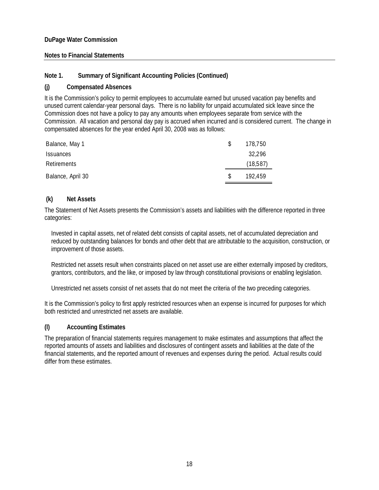## **Notes to Financial Statements**

## **Note 1. Summary of Significant Accounting Policies (Continued)**

## **(j) Compensated Absences**

It is the Commission's policy to permit employees to accumulate earned but unused vacation pay benefits and unused current calendar-year personal days. There is no liability for unpaid accumulated sick leave since the Commission does not have a policy to pay any amounts when employees separate from service with the Commission. All vacation and personal day pay is accrued when incurred and is considered current. The change in compensated absences for the year ended April 30, 2008 was as follows:

| Balance, May 1    |    | 178.750  |
|-------------------|----|----------|
| <b>Issuances</b>  |    | 32,296   |
| Retirements       |    | (18,587) |
| Balance, April 30 | -S | 192.459  |

## **(k) Net Assets**

The Statement of Net Assets presents the Commission's assets and liabilities with the difference reported in three categories:

Invested in capital assets, net of related debt consists of capital assets, net of accumulated depreciation and reduced by outstanding balances for bonds and other debt that are attributable to the acquisition, construction, or improvement of those assets.

Restricted net assets result when constraints placed on net asset use are either externally imposed by creditors, grantors, contributors, and the like, or imposed by law through constitutional provisions or enabling legislation.

Unrestricted net assets consist of net assets that do not meet the criteria of the two preceding categories.

It is the Commission's policy to first apply restricted resources when an expense is incurred for purposes for which both restricted and unrestricted net assets are available.

## **(l) Accounting Estimates**

The preparation of financial statements requires management to make estimates and assumptions that affect the reported amounts of assets and liabilities and disclosures of contingent assets and liabilities at the date of the financial statements, and the reported amount of revenues and expenses during the period. Actual results could differ from these estimates.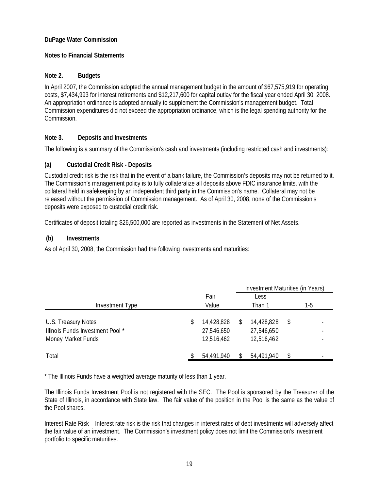## **Notes to Financial Statements**

## **Note 2. Budgets**

In April 2007, the Commission adopted the annual management budget in the amount of \$67,575,919 for operating costs, \$7,434,993 for interest retirements and \$12,217,600 for capital outlay for the fiscal year ended April 30, 2008. An appropriation ordinance is adopted annually to supplement the Commission's management budget. Total Commission expenditures did not exceed the appropriation ordinance, which is the legal spending authority for the Commission.

## **Note 3. Deposits and Investments**

The following is a summary of the Commission's cash and investments (including restricted cash and investments):

## **(a) Custodial Credit Risk - Deposits**

Custodial credit risk is the risk that in the event of a bank failure, the Commission's deposits may not be returned to it. The Commission's management policy is to fully collateralize all deposits above FDIC insurance limits, with the collateral held in safekeeping by an independent third party in the Commission's name. Collateral may not be released without the permission of Commission management. As of April 30, 2008, none of the Commission's deposits were exposed to custodial credit risk.

Certificates of deposit totaling \$26,500,000 are reported as investments in the Statement of Net Assets.

## **(b) Investments**

As of April 30, 2008, the Commission had the following investments and maturities:

|                                                                              |                                              |   |                                        | Investment Maturities (in Years) |     |  |
|------------------------------------------------------------------------------|----------------------------------------------|---|----------------------------------------|----------------------------------|-----|--|
|                                                                              | Fair                                         |   | Less                                   |                                  |     |  |
| Investment Type                                                              | Value                                        |   | Than 1                                 |                                  | 1-5 |  |
| U.S. Treasury Notes<br>Illinois Funds Investment Pool*<br>Money Market Funds | \$<br>14,428,828<br>27,546,650<br>12,516,462 | S | 14,428,828<br>27,546,650<br>12,516,462 | S                                |     |  |
| Total                                                                        | 54,491,940                                   |   | 54,491,940                             |                                  |     |  |

\* The Illinois Funds have a weighted average maturity of less than 1 year.

The Illinois Funds Investment Pool is not registered with the SEC. The Pool is sponsored by the Treasurer of the State of Illinois, in accordance with State law. The fair value of the position in the Pool is the same as the value of the Pool shares.

Interest Rate Risk – Interest rate risk is the risk that changes in interest rates of debt investments will adversely affect the fair value of an investment. The Commission's investment policy does not limit the Commission's investment portfolio to specific maturities.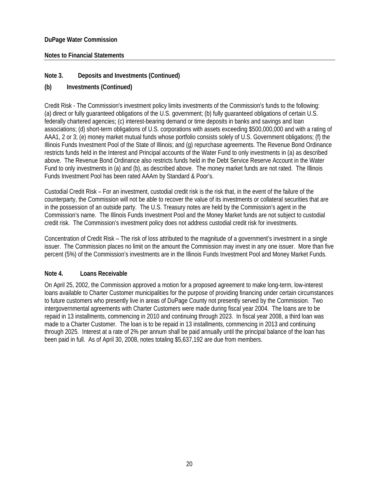## **Notes to Financial Statements**

## **Note 3. Deposits and Investments (Continued)**

## **(b) Investments (Continued)**

Credit Risk - The Commission's investment policy limits investments of the Commission's funds to the following: (a) direct or fully guaranteed obligations of the U.S. government; (b) fully guaranteed obligations of certain U.S. federally chartered agencies; (c) interest-bearing demand or time deposits in banks and savings and loan associations; (d) short-term obligations of U.S. corporations with assets exceeding \$500,000,000 and with a rating of AAA1, 2 or 3; (e) money market mutual funds whose portfolio consists solely of U.S. Government obligations; (f) the Illinois Funds Investment Pool of the State of Illinois; and (g) repurchase agreements. The Revenue Bond Ordinance restricts funds held in the Interest and Principal accounts of the Water Fund to only investments in (a) as described above. The Revenue Bond Ordinance also restricts funds held in the Debt Service Reserve Account in the Water Fund to only investments in (a) and (b), as described above. The money market funds are not rated. The Illinois Funds Investment Pool has been rated AAAm by Standard & Poor's.

Custodial Credit Risk – For an investment, custodial credit risk is the risk that, in the event of the failure of the counterparty, the Commission will not be able to recover the value of its investments or collateral securities that are in the possession of an outside party. The U.S. Treasury notes are held by the Commission's agent in the Commission's name. The Illinois Funds Investment Pool and the Money Market funds are not subject to custodial credit risk. The Commission's investment policy does not address custodial credit risk for investments.

Concentration of Credit Risk – The risk of loss attributed to the magnitude of a government's investment in a single issuer. The Commission places no limit on the amount the Commission may invest in any one issuer. More than five percent (5%) of the Commission's investments are in the Illinois Funds Investment Pool and Money Market Funds.

## **Note 4. Loans Receivable**

On April 25, 2002, the Commission approved a motion for a proposed agreement to make long-term, low-interest loans available to Charter Customer municipalities for the purpose of providing financing under certain circumstances to future customers who presently live in areas of DuPage County not presently served by the Commission. Two intergovernmental agreements with Charter Customers were made during fiscal year 2004. The loans are to be repaid in 13 installments, commencing in 2010 and continuing through 2023. In fiscal year 2008, a third loan was made to a Charter Customer. The loan is to be repaid in 13 installments, commencing in 2013 and continuing through 2025. Interest at a rate of 2% per annum shall be paid annually until the principal balance of the loan has been paid in full. As of April 30, 2008, notes totaling \$5,637,192 are due from members.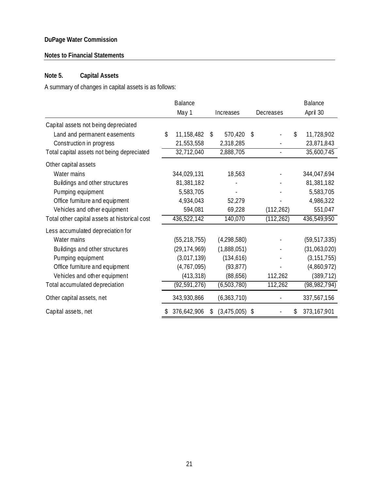## **Notes to Financial Statements**

## **Note 5. Capital Assets**

A summary of changes in capital assets is as follows:

|                                               | <b>Balance</b>   |                   |                          | <b>Balance</b>      |
|-----------------------------------------------|------------------|-------------------|--------------------------|---------------------|
|                                               | May 1            | Increases         | Decreases                | April 30            |
| Capital assets not being depreciated          |                  |                   |                          |                     |
| Land and permanent easements                  | \$<br>11,158,482 | \$<br>570,420     | \$                       | \$<br>11,728,902    |
| Construction in progress                      | 21,553,558       | 2,318,285         |                          | 23,871,843          |
| Total capital assets not being depreciated    | 32,712,040       | 2,888,705         | $\overline{\phantom{a}}$ | 35,600,745          |
| Other capital assets                          |                  |                   |                          |                     |
| Water mains                                   | 344,029,131      | 18,563            |                          | 344,047,694         |
| Buildings and other structures                | 81,381,182       |                   |                          | 81,381,182          |
| Pumping equipment                             | 5,583,705        |                   |                          | 5,583,705           |
| Office furniture and equipment                | 4,934,043        | 52,279            |                          | 4,986,322           |
| Vehicles and other equipment                  | 594,081          | 69,228            | (112, 262)               | 551,047             |
| Total other capital assets at historical cost | 436,522,142      | 140,070           | (112, 262)               | 436,549,950         |
| Less accumulated depreciation for             |                  |                   |                          |                     |
| Water mains                                   | (55, 218, 755)   | (4,298,580)       |                          | (59, 517, 335)      |
| Buildings and other structures                | (29, 174, 969)   | (1,888,051)       |                          | (31,063,020)        |
| Pumping equipment                             | (3,017,139)      | (134, 616)        |                          | (3, 151, 755)       |
| Office furniture and equipment                | (4, 767, 095)    | (93, 877)         |                          | (4,860,972)         |
| Vehicles and other equipment                  | (413, 318)       | (88, 656)         | 112,262                  | (389, 712)          |
| Total accumulated depreciation                | (92, 591, 276)   | (6,503,780)       | 112,262                  | (98, 982, 794)      |
| Other capital assets, net                     | 343,930,866      | (6,363,710)       |                          | 337,567,156         |
| Capital assets, net                           | 376,642,906      | \$<br>(3,475,005) | \$                       | \$<br>373, 167, 901 |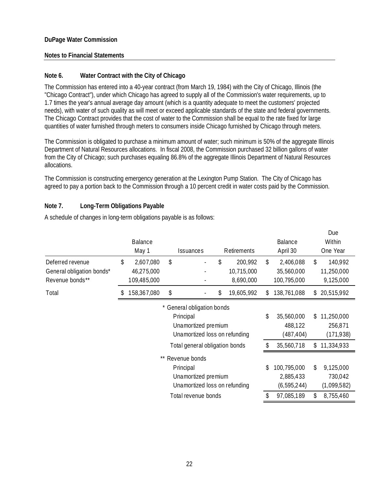## **Notes to Financial Statements**

## **Note 6. Water Contract with the City of Chicago**

The Commission has entered into a 40-year contract (from March 19, 1984) with the City of Chicago, Illinois (the "Chicago Contract"), under which Chicago has agreed to supply all of the Commission's water requirements, up to 1.7 times the year's annual average day amount (which is a quantity adequate to meet the customers' projected needs), with water of such quality as will meet or exceed applicable standards of the state and federal governments. The Chicago Contract provides that the cost of water to the Commission shall be equal to the rate fixed for large quantities of water furnished through meters to consumers inside Chicago furnished by Chicago through meters.

The Commission is obligated to purchase a minimum amount of water; such minimum is 50% of the aggregate Illinois Department of Natural Resources allocations. In fiscal 2008, the Commission purchased 32 billion gallons of water from the City of Chicago; such purchases equaling 86.8% of the aggregate Illinois Department of Natural Resources allocations.

The Commission is constructing emergency generation at the Lexington Pump Station. The City of Chicago has agreed to pay a portion back to the Commission through a 10 percent credit in water costs paid by the Commission.

## **Note 7. Long-Term Obligations Payable**

|                           |                                |                            |                               |    |             |     |               |    | Due         |
|---------------------------|--------------------------------|----------------------------|-------------------------------|----|-------------|-----|---------------|----|-------------|
|                           | <b>Balance</b>                 |                            |                               |    |             |     | Balance       |    | Within      |
|                           | May 1                          |                            | Issuances                     |    | Retirements |     | April 30      |    | One Year    |
| Deferred revenue          | \$<br>2,607,080                | \$                         |                               | \$ | 200,992     | \$  | 2,406,088     | \$ | 140,992     |
| General obligation bonds* | 46,275,000                     |                            |                               |    | 10,715,000  |     | 35,560,000    |    | 11,250,000  |
| Revenue bonds**           | 109,485,000                    |                            |                               |    | 8,690,000   |     | 100,795,000   |    | 9,125,000   |
| Total                     | 158,367,080                    | \$                         |                               | \$ | 19,605,992  | S.  | 138,761,088   | S  | 20,515,992  |
|                           |                                | * General obligation bonds |                               |    |             |     |               |    |             |
|                           |                                |                            | Principal                     |    |             | \$  | 35,560,000    | \$ | 11,250,000  |
|                           |                                |                            | Unamortized premium           |    |             |     | 488,122       |    | 256,871     |
|                           | Unamortized loss on refunding  |                            |                               |    |             |     | (487, 404)    |    | (171, 938)  |
|                           | Total general obligation bonds |                            |                               |    |             |     | 35,560,718    | \$ | 11,334,933  |
|                           | **                             | Revenue bonds              |                               |    |             |     |               |    |             |
|                           |                                |                            | Principal                     |    |             | \$. | 100,795,000   | \$ | 9,125,000   |
|                           | Unamortized premium            |                            |                               |    |             |     | 2,885,433     |    | 730,042     |
|                           |                                |                            | Unamortized loss on refunding |    |             |     | (6, 595, 244) |    | (1,099,582) |
|                           |                                |                            | Total revenue bonds           |    |             | \$  | 97,085,189    | \$ | 8,755,460   |

A schedule of changes in long-term obligations payable is as follows: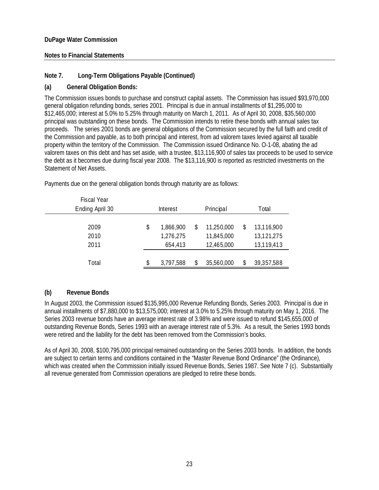## **Notes to Financial Statements**

## **Note 7. Long-Term Obligations Payable (Continued)**

## **(a) General Obligation Bonds:**

The Commission issues bonds to purchase and construct capital assets. The Commission has issued \$93,970,000 general obligation refunding bonds, series 2001. Principal is due in annual installments of \$1,295,000 to \$12,465,000; interest at 5.0% to 5.25% through maturity on March 1, 2011. As of April 30, 2008, \$35,560,000 principal was outstanding on these bonds. The Commission intends to retire these bonds with annual sales tax proceeds. The series 2001 bonds are general obligations of the Commission secured by the full faith and credit of the Commission and payable, as to both principal and interest, from ad valorem taxes levied against all taxable property within the territory of the Commission. The Commission issued Ordinance No. O-1-08, abating the ad valorem taxes on this debt and has set aside, with a trustee, \$13,116,900 of sales tax proceeds to be used to service the debt as it becomes due during fiscal year 2008. The \$13,116,900 is reported as restricted investments on the Statement of Net Assets.

| <b>Fiscal Year</b> |                       |           |    |            |       |            |  |
|--------------------|-----------------------|-----------|----|------------|-------|------------|--|
| Ending April 30    | Principal<br>Interest |           |    |            | Total |            |  |
|                    |                       |           |    |            |       |            |  |
| 2009               | \$                    | 1,866,900 | \$ | 11,250,000 | \$    | 13,116,900 |  |
| 2010               |                       | 1,276,275 |    | 11,845,000 |       | 13,121,275 |  |
| 2011               |                       | 654,413   |    | 12,465,000 |       | 13,119,413 |  |
|                    |                       |           |    |            |       |            |  |
| Total              |                       | 3,797,588 | \$ | 35,560,000 | S.    | 39,357,588 |  |

Payments due on the general obligation bonds through maturity are as follows:

## **(b) Revenue Bonds**

In August 2003, the Commission issued \$135,995,000 Revenue Refunding Bonds, Series 2003. Principal is due in annual installments of \$7,880,000 to \$13,575,000; interest at 3.0% to 5.25% through maturity on May 1, 2016. The Series 2003 revenue bonds have an average interest rate of 3.98% and were issued to refund \$145,655,000 of outstanding Revenue Bonds, Series 1993 with an average interest rate of 5.3%. As a result, the Series 1993 bonds were retired and the liability for the debt has been removed from the Commission's books.

As of April 30, 2008, \$100,795,000 principal remained outstanding on the Series 2003 bonds. In addition, the bonds are subject to certain terms and conditions contained in the "Master Revenue Bond Ordinance" (the Ordinance), which was created when the Commission initially issued Revenue Bonds, Series 1987. See Note 7 (c). Substantially all revenue generated from Commission operations are pledged to retire these bonds.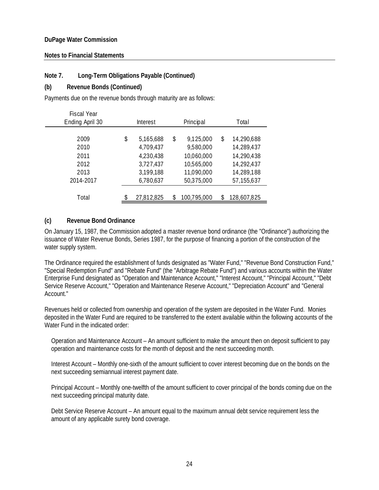## **Notes to Financial Statements**

## **Note 7. Long-Term Obligations Payable (Continued)**

## **(b) Revenue Bonds (Continued)**

Payments due on the revenue bonds through maturity are as follows:

| <b>Fiscal Year</b> |                       |            |    |             |       |             |  |
|--------------------|-----------------------|------------|----|-------------|-------|-------------|--|
| Ending April 30    | Principal<br>Interest |            |    |             | Total |             |  |
|                    |                       |            |    |             |       |             |  |
| 2009               | \$                    | 5,165,688  | \$ | 9,125,000   | \$    | 14,290,688  |  |
| 2010               |                       | 4,709,437  |    | 9,580,000   |       | 14,289,437  |  |
| 2011               |                       | 4,230,438  |    | 10,060,000  |       | 14,290,438  |  |
| 2012               |                       | 3,727,437  |    | 10,565,000  |       | 14,292,437  |  |
| 2013               |                       | 3,199,188  |    | 11,090,000  |       | 14,289,188  |  |
| 2014-2017          |                       | 6,780,637  |    | 50,375,000  |       | 57,155,637  |  |
|                    |                       |            |    |             |       |             |  |
| Total              |                       | 27,812,825 | \$ | 100,795,000 |       | 128,607,825 |  |

## **(c) Revenue Bond Ordinance**

On January 15, 1987, the Commission adopted a master revenue bond ordinance (the "Ordinance") authorizing the issuance of Water Revenue Bonds, Series 1987, for the purpose of financing a portion of the construction of the water supply system.

The Ordinance required the establishment of funds designated as "Water Fund," "Revenue Bond Construction Fund," "Special Redemption Fund" and "Rebate Fund" (the "Arbitrage Rebate Fund") and various accounts within the Water Enterprise Fund designated as "Operation and Maintenance Account," "Interest Account," "Principal Account," "Debt Service Reserve Account," "Operation and Maintenance Reserve Account," "Depreciation Account" and "General Account."

Revenues held or collected from ownership and operation of the system are deposited in the Water Fund. Monies deposited in the Water Fund are required to be transferred to the extent available within the following accounts of the Water Fund in the indicated order:

Operation and Maintenance Account – An amount sufficient to make the amount then on deposit sufficient to pay operation and maintenance costs for the month of deposit and the next succeeding month.

Interest Account – Monthly one-sixth of the amount sufficient to cover interest becoming due on the bonds on the next succeeding semiannual interest payment date.

Principal Account – Monthly one-twelfth of the amount sufficient to cover principal of the bonds coming due on the next succeeding principal maturity date.

Debt Service Reserve Account – An amount equal to the maximum annual debt service requirement less the amount of any applicable surety bond coverage.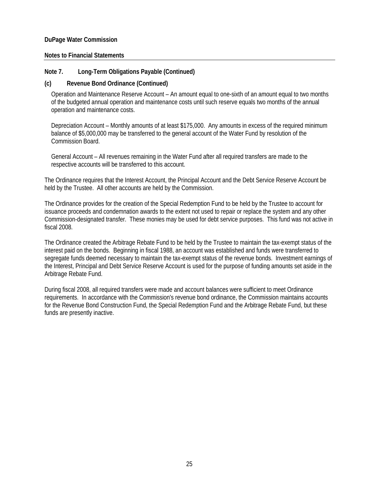## **Notes to Financial Statements**

## **Note 7. Long-Term Obligations Payable (Continued)**

## **(c) Revenue Bond Ordinance (Continued)**

Operation and Maintenance Reserve Account – An amount equal to one-sixth of an amount equal to two months of the budgeted annual operation and maintenance costs until such reserve equals two months of the annual operation and maintenance costs.

Depreciation Account – Monthly amounts of at least \$175,000. Any amounts in excess of the required minimum balance of \$5,000,000 may be transferred to the general account of the Water Fund by resolution of the Commission Board.

General Account – All revenues remaining in the Water Fund after all required transfers are made to the respective accounts will be transferred to this account.

The Ordinance requires that the Interest Account, the Principal Account and the Debt Service Reserve Account be held by the Trustee. All other accounts are held by the Commission.

The Ordinance provides for the creation of the Special Redemption Fund to be held by the Trustee to account for issuance proceeds and condemnation awards to the extent not used to repair or replace the system and any other Commission-designated transfer. These monies may be used for debt service purposes. This fund was not active in fiscal 2008.

The Ordinance created the Arbitrage Rebate Fund to be held by the Trustee to maintain the tax-exempt status of the interest paid on the bonds. Beginning in fiscal 1988, an account was established and funds were transferred to segregate funds deemed necessary to maintain the tax-exempt status of the revenue bonds. Investment earnings of the Interest, Principal and Debt Service Reserve Account is used for the purpose of funding amounts set aside in the Arbitrage Rebate Fund.

During fiscal 2008, all required transfers were made and account balances were sufficient to meet Ordinance requirements. In accordance with the Commission's revenue bond ordinance, the Commission maintains accounts for the Revenue Bond Construction Fund, the Special Redemption Fund and the Arbitrage Rebate Fund, but these funds are presently inactive.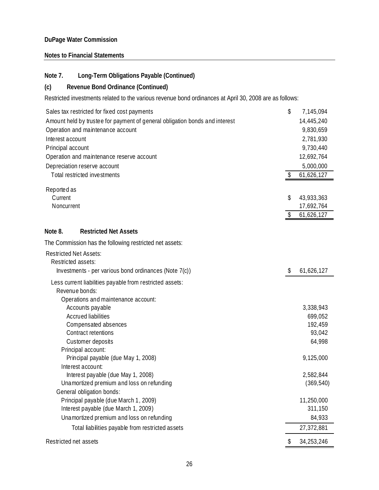## **Notes to Financial Statements**

## **Note 7. Long-Term Obligations Payable (Continued)**

## **(c) Revenue Bond Ordinance (Continued)**

Restricted investments related to the various revenue bond ordinances at April 30, 2008 are as follows:

| Sales tax restricted for fixed cost payments                                | \$                      | 7,145,094  |
|-----------------------------------------------------------------------------|-------------------------|------------|
| Amount held by trustee for payment of general obligation bonds and interest |                         | 14,445,240 |
| Operation and maintenance account                                           |                         | 9,830,659  |
| Interest account                                                            |                         | 2,781,930  |
| Principal account                                                           |                         | 9,730,440  |
| Operation and maintenance reserve account                                   |                         | 12,692,764 |
| Depreciation reserve account                                                |                         | 5,000,000  |
| Total restricted investments                                                | \$                      | 61,626,127 |
|                                                                             |                         |            |
| Reported as<br>Current                                                      | \$                      | 43,933,363 |
| Noncurrent                                                                  |                         | 17,692,764 |
|                                                                             | $\sqrt[6]{\frac{1}{2}}$ | 61,626,127 |
|                                                                             |                         |            |
| Note 8.<br><b>Restricted Net Assets</b>                                     |                         |            |
| The Commission has the following restricted net assets:                     |                         |            |
| <b>Restricted Net Assets:</b>                                               |                         |            |
| Restricted assets:                                                          |                         |            |
| Investments - per various bond ordinances (Note 7(c))                       | \$                      | 61,626,127 |
| Less current liabilities payable from restricted assets:                    |                         |            |
| Revenue bonds:                                                              |                         |            |
| Operations and maintenance account:                                         |                         |            |
| Accounts payable                                                            |                         | 3,338,943  |
| <b>Accrued liabilities</b>                                                  |                         | 699,052    |
| Compensated absences                                                        |                         | 192,459    |
| Contract retentions                                                         |                         | 93,042     |
| Customer deposits                                                           |                         | 64,998     |
| Principal account:                                                          |                         |            |
| Principal payable (due May 1, 2008)                                         |                         | 9,125,000  |
| Interest account:                                                           |                         |            |
| Interest payable (due May 1, 2008)                                          |                         | 2,582,844  |
| Unamortized premium and loss on refunding                                   |                         | (369, 540) |
| General obligation bonds:<br>Principal payable (due March 1, 2009)          |                         | 11,250,000 |
| Interest payable (due March 1, 2009)                                        |                         | 311,150    |
| Unamortized premium and loss on refunding                                   |                         | 84,933     |
| Total liabilities payable from restricted assets                            |                         | 27,372,881 |
|                                                                             |                         |            |
| Restricted net assets                                                       | \$                      | 34,253,246 |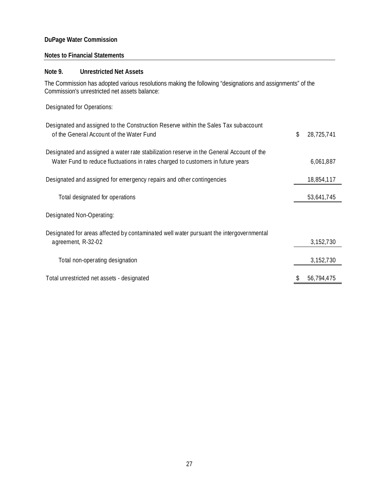## **Notes to Financial Statements**

## **Note 9. Unrestricted Net Assets**

The Commission has adopted various resolutions making the following "designations and assignments" of the Commission's unrestricted net assets balance:

Designated for Operations:

| Designated and assigned to the Construction Reserve within the Sales Tax subaccount<br>of the General Account of the Water Fund                                             | \$<br>28,725,741 |
|-----------------------------------------------------------------------------------------------------------------------------------------------------------------------------|------------------|
| Designated and assigned a water rate stabilization reserve in the General Account of the<br>Water Fund to reduce fluctuations in rates charged to customers in future years | 6,061,887        |
| Designated and assigned for emergency repairs and other contingencies                                                                                                       | 18,854,117       |
| Total designated for operations                                                                                                                                             | 53,641,745       |
| Designated Non-Operating:                                                                                                                                                   |                  |
| Designated for areas affected by contaminated well water pursuant the intergovernmental<br>agreement, R-32-02                                                               | 3,152,730        |
| Total non-operating designation                                                                                                                                             | 3,152,730        |
| Total unrestricted net assets - designated                                                                                                                                  | 56,794,475       |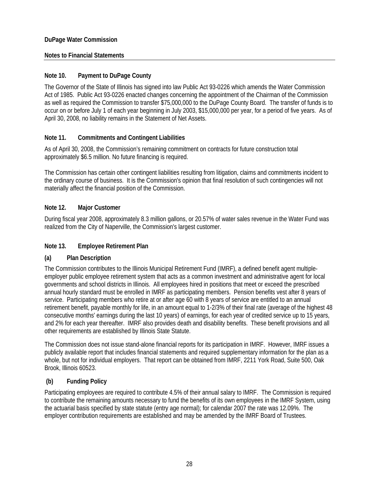## **Notes to Financial Statements**

## **Note 10. Payment to DuPage County**

The Governor of the State of Illinois has signed into law Public Act 93-0226 which amends the Water Commission Act of 1985. Public Act 93-0226 enacted changes concerning the appointment of the Chairman of the Commission as well as required the Commission to transfer \$75,000,000 to the DuPage County Board. The transfer of funds is to occur on or before July 1 of each year beginning in July 2003, \$15,000,000 per year, for a period of five years. As of April 30, 2008, no liability remains in the Statement of Net Assets.

## **Note 11. Commitments and Contingent Liabilities**

As of April 30, 2008, the Commission's remaining commitment on contracts for future construction total approximately \$6.5 million. No future financing is required.

The Commission has certain other contingent liabilities resulting from litigation, claims and commitments incident to the ordinary course of business. It is the Commission's opinion that final resolution of such contingencies will not materially affect the financial position of the Commission.

## **Note 12. Major Customer**

During fiscal year 2008, approximately 8.3 million gallons, or 20.57% of water sales revenue in the Water Fund was realized from the City of Naperville, the Commission's largest customer.

## **Note 13. Employee Retirement Plan**

## **(a) Plan Description**

The Commission contributes to the Illinois Municipal Retirement Fund (IMRF), a defined benefit agent multipleemployer public employee retirement system that acts as a common investment and administrative agent for local governments and school districts in Illinois. All employees hired in positions that meet or exceed the prescribed annual hourly standard must be enrolled in IMRF as participating members. Pension benefits vest after 8 years of service. Participating members who retire at or after age 60 with 8 years of service are entitled to an annual retirement benefit, payable monthly for life, in an amount equal to 1-2/3% of their final rate (average of the highest 48 consecutive months' earnings during the last 10 years) of earnings, for each year of credited service up to 15 years, and 2% for each year thereafter. IMRF also provides death and disability benefits. These benefit provisions and all other requirements are established by Illinois State Statute.

The Commission does not issue stand-alone financial reports for its participation in IMRF. However, IMRF issues a publicly available report that includes financial statements and required supplementary information for the plan as a whole, but not for individual employers. That report can be obtained from IMRF, 2211 York Road, Suite 500, Oak Brook, Illinois 60523.

## **(b) Funding Policy**

Participating employees are required to contribute 4.5% of their annual salary to IMRF. The Commission is required to contribute the remaining amounts necessary to fund the benefits of its own employees in the IMRF System, using the actuarial basis specified by state statute (entry age normal); for calendar 2007 the rate was 12.09%. The employer contribution requirements are established and may be amended by the IMRF Board of Trustees.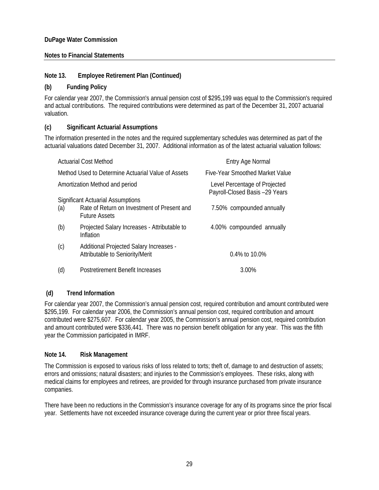## **Notes to Financial Statements**

## **Note 13. Employee Retirement Plan (Continued)**

## **(b) Funding Policy**

For calendar year 2007, the Commission's annual pension cost of \$295,199 was equal to the Commission's required and actual contributions. The required contributions were determined as part of the December 31, 2007 actuarial valuation.

## **(c) Significant Actuarial Assumptions**

The information presented in the notes and the required supplementary schedules was determined as part of the actuarial valuations dated December 31, 2007. Additional information as of the latest actuarial valuation follows:

|     | <b>Actuarial Cost Method</b>                                               | <b>Entry Age Normal</b>                                         |
|-----|----------------------------------------------------------------------------|-----------------------------------------------------------------|
|     | Method Used to Determine Actuarial Value of Assets                         | Five-Year Smoothed Market Value                                 |
|     | Amortization Method and period                                             | Level Percentage of Projected<br>Payroll-Closed Basis -29 Years |
|     | <b>Significant Actuarial Assumptions</b>                                   |                                                                 |
| (a) | Rate of Return on Investment of Present and<br><b>Future Assets</b>        | 7.50% compounded annually                                       |
| (b) | Projected Salary Increases - Attributable to<br>Inflation                  | 4.00% compounded annually                                       |
| (c) | Additional Projected Salary Increases -<br>Attributable to Seniority/Merit | 0.4% to 10.0%                                                   |
| (d) | Postretirement Benefit Increases                                           | 3.00%                                                           |

## **(d) Trend Information**

For calendar year 2007, the Commission's annual pension cost, required contribution and amount contributed were \$295,199. For calendar year 2006, the Commission's annual pension cost, required contribution and amount contributed were \$275,607. For calendar year 2005, the Commission's annual pension cost, required contribution and amount contributed were \$336,441. There was no pension benefit obligation for any year. This was the fifth year the Commission participated in IMRF.

#### **Note 14. Risk Management**

The Commission is exposed to various risks of loss related to torts; theft of, damage to and destruction of assets; errors and omissions; natural disasters; and injuries to the Commission's employees. These risks, along with medical claims for employees and retirees, are provided for through insurance purchased from private insurance companies.

There have been no reductions in the Commission's insurance coverage for any of its programs since the prior fiscal year. Settlements have not exceeded insurance coverage during the current year or prior three fiscal years.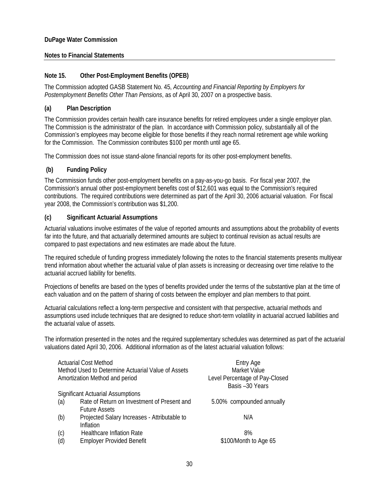## **Notes to Financial Statements**

## **Note 15. Other Post-Employment Benefits (OPEB)**

The Commission adopted GASB Statement No. 45, *Accounting and Financial Reporting by Employers for Postemployment Benefits Other Than Pensions*, as of April 30, 2007 on a prospective basis.

## **(a) Plan Description**

The Commission provides certain health care insurance benefits for retired employees under a single employer plan. The Commission is the administrator of the plan. In accordance with Commission policy, substantially all of the Commission's employees may become eligible for those benefits if they reach normal retirement age while working for the Commission. The Commission contributes \$100 per month until age 65.

The Commission does not issue stand-alone financial reports for its other post-employment benefits.

## **(b) Funding Policy**

The Commission funds other post-employment benefits on a pay-as-you-go basis. For fiscal year 2007, the Commission's annual other post-employment benefits cost of \$12,601 was equal to the Commission's required contributions. The required contributions were determined as part of the April 30, 2006 actuarial valuation. For fiscal year 2008, the Commission's contribution was \$1,200.

## **(c) Significant Actuarial Assumptions**

Actuarial valuations involve estimates of the value of reported amounts and assumptions about the probability of events far into the future, and that actuarially determined amounts are subject to continual revision as actual results are compared to past expectations and new estimates are made about the future.

The required schedule of funding progress immediately following the notes to the financial statements presents multiyear trend information about whether the actuarial value of plan assets is increasing or decreasing over time relative to the actuarial accrued liability for benefits.

Projections of benefits are based on the types of benefits provided under the terms of the substantive plan at the time of each valuation and on the pattern of sharing of costs between the employer and plan members to that point.

Actuarial calculations reflect a long-term perspective and consistent with that perspective, actuarial methods and assumptions used include techniques that are designed to reduce short-term volatility in actuarial accrued liabilities and the actuarial value of assets.

The information presented in the notes and the required supplementary schedules was determined as part of the actuarial valuations dated April 30, 2006. Additional information as of the latest actuarial valuation follows:

|     | <b>Actuarial Cost Method</b>                       | <b>Entry Age</b>                                 |
|-----|----------------------------------------------------|--------------------------------------------------|
|     | Method Used to Determine Actuarial Value of Assets | Market Value                                     |
|     | Amortization Method and period                     | Level Percentage of Pay-Closed<br>Basis-30 Years |
|     | <b>Significant Actuarial Assumptions</b>           |                                                  |
| (a) | Rate of Return on Investment of Present and        | 5.00% compounded annually                        |
|     | <b>Future Assets</b>                               |                                                  |
| (b) | Projected Salary Increases - Attributable to       | N/A                                              |
|     | Inflation                                          |                                                  |
| (c) | <b>Healthcare Inflation Rate</b>                   | 8%                                               |
| (d) | <b>Employer Provided Benefit</b>                   | \$100/Month to Age 65                            |
|     |                                                    |                                                  |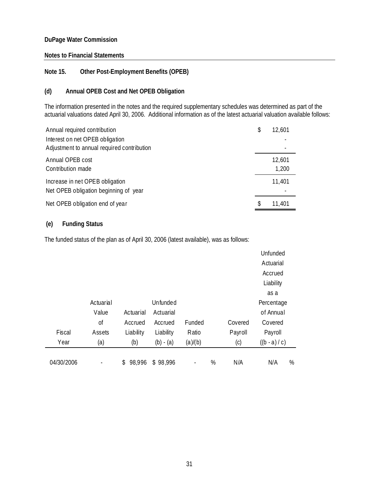#### **Notes to Financial Statements**

## **Note 15. Other Post-Employment Benefits (OPEB)**

## **(d) Annual OPEB Cost and Net OPEB Obligation**

The information presented in the notes and the required supplementary schedules was determined as part of the actuarial valuations dated April 30, 2006. Additional information as of the latest actuarial valuation available follows:

| Annual required contribution                                                  | \$<br>12,601    |
|-------------------------------------------------------------------------------|-----------------|
| Interest on net OPEB obligation<br>Adjustment to annual required contribution |                 |
| Annual OPEB cost<br>Contribution made                                         | 12,601<br>1,200 |
| Increase in net OPEB obligation<br>Net OPEB obligation beginning of year      | 11,401          |
| Net OPEB obligation end of year                                               | \$<br>11,401    |

## **(e) Funding Status**

The funded status of the plan as of April 30, 2006 (latest available), was as follows:

|            |           |              |                               |                |                 |         | Unfunded   |   |
|------------|-----------|--------------|-------------------------------|----------------|-----------------|---------|------------|---|
|            |           |              |                               |                |                 |         | Actuarial  |   |
|            |           |              |                               |                |                 |         | Accrued    |   |
|            |           |              |                               |                |                 |         | Liability  |   |
|            |           |              |                               |                |                 |         | as a       |   |
|            | Actuarial |              | Unfunded                      |                |                 |         | Percentage |   |
|            | Value     | Actuarial    | Actuarial                     |                |                 |         | of Annual  |   |
|            | 0f        | Accrued      | Accrued                       | Funded         |                 | Covered | Covered    |   |
| Fiscal     | Assets    | Liability    | Liability                     | Ratio          |                 | Payroll | Payroll    |   |
| Year       | (a)       | (b)          | (a)/(b)<br>(c)<br>$(b) - (a)$ |                | $((b - a) / c)$ |         |            |   |
|            |           |              |                               |                |                 |         |            |   |
| 04/30/2006 |           | 98,996<br>\$ | \$98,996                      | $\overline{a}$ | %               | N/A     | N/A        | % |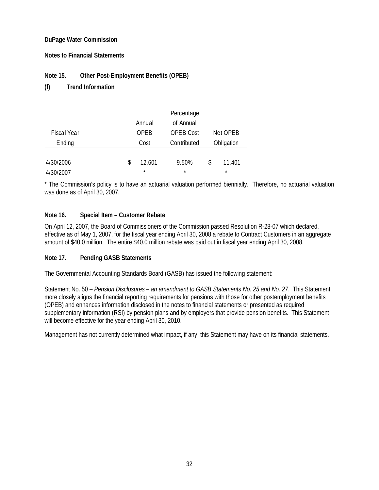## **Notes to Financial Statements**

## **Note 15. Other Post-Employment Benefits (OPEB)**

## **(f) Trend Information**

|             | Percentage |         |                  |    |            |  |  |
|-------------|------------|---------|------------------|----|------------|--|--|
|             |            | Annual  | of Annual        |    |            |  |  |
| Fiscal Year |            | OPFB    | <b>OPEB Cost</b> |    | Net OPEB   |  |  |
| Ending      |            | Cost    | Contributed      |    | Obligation |  |  |
|             |            |         |                  |    |            |  |  |
| 4/30/2006   | \$         | 12,601  | 9.50%            | \$ | 11,401     |  |  |
| 4/30/2007   |            | $\star$ | $\star$          |    | $\star$    |  |  |

\* The Commission's policy is to have an actuarial valuation performed biennially. Therefore, no actuarial valuation was done as of April 30, 2007.

## **Note 16. Special Item – Customer Rebate**

On April 12, 2007, the Board of Commissioners of the Commission passed Resolution R-28-07 which declared, effective as of May 1, 2007, for the fiscal year ending April 30, 2008 a rebate to Contract Customers in an aggregate amount of \$40.0 million. The entire \$40.0 million rebate was paid out in fiscal year ending April 30, 2008.

#### **Note 17. Pending GASB Statements**

The Governmental Accounting Standards Board (GASB) has issued the following statement:

Statement No. 50 – *Pension Disclosures – an amendment to GASB Statements No. 25 and No. 27*. This Statement more closely aligns the financial reporting requirements for pensions with those for other postemployment benefits (OPEB) and enhances information disclosed in the notes to financial statements or presented as required supplementary information (RSI) by pension plans and by employers that provide pension benefits. This Statement will become effective for the year ending April 30, 2010.

Management has not currently determined what impact, if any, this Statement may have on its financial statements.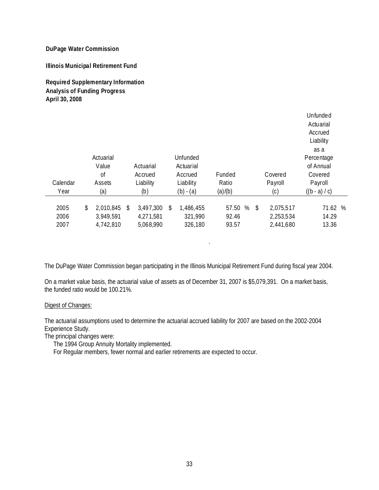**Illinois Municipal Retirement Fund**

**Required Supplementary Information Analysis of Funding Progress April 30, 2008**

|                      |                                               |                                           |                                               |                              |                                           | Unfunded<br>Actuarial<br>Accrued<br>Liability         |  |
|----------------------|-----------------------------------------------|-------------------------------------------|-----------------------------------------------|------------------------------|-------------------------------------------|-------------------------------------------------------|--|
| Calendar             | Actuarial<br>Value<br><sub>of</sub><br>Assets | Actuarial<br>Accrued<br>Liability         | Unfunded<br>Actuarial<br>Accrued<br>Liability | Funded<br>Ratio              | Covered<br>Payroll                        | as a<br>Percentage<br>of Annual<br>Covered<br>Payroll |  |
| Year                 | (a)                                           | (b)                                       | $(b) - (a)$                                   | (a)/(b)                      | (c)                                       | $((b - a) / c)$                                       |  |
| 2005<br>2006<br>2007 | \$<br>2,010,845<br>3,949,591<br>4,742,810     | \$<br>3,497,300<br>4,271,581<br>5,068,990 | \$<br>1,486,455<br>321,990<br>326,180         | %<br>57.50<br>92.46<br>93.57 | \$<br>2,075,517<br>2,253,534<br>2,441,680 | 71.62 %<br>14.29<br>13.36                             |  |

The DuPage Water Commission began participating in the Illinois Municipal Retirement Fund during fiscal year 2004.

.

On a market value basis, the actuarial value of assets as of December 31, 2007 is \$5,079,391. On a market basis, the funded ratio would be 100.21%.

#### Digest of Changes:

The actuarial assumptions used to determine the actuarial accrued liability for 2007 are based on the 2002-2004 Experience Study.

The principal changes were:

The 1994 Group Annuity Mortality implemented.

For Regular members, fewer normal and earlier retirements are expected to occur.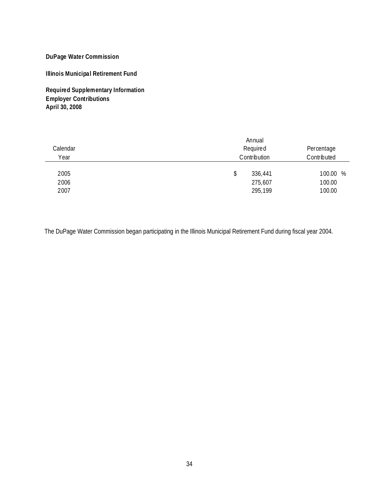**Illinois Municipal Retirement Fund**

**Required Supplementary Information Employer Contributions April 30, 2008**

| Calendar<br>Year | Annual<br>Required<br>Contribution | Percentage<br>Contributed |  |
|------------------|------------------------------------|---------------------------|--|
| 2005             | \$<br>336,441                      | 100.00 %                  |  |
| 2006             | 275,607                            | 100.00                    |  |
| 2007             | 295,199                            | 100.00                    |  |

The DuPage Water Commission began participating in the Illinois Municipal Retirement Fund during fiscal year 2004.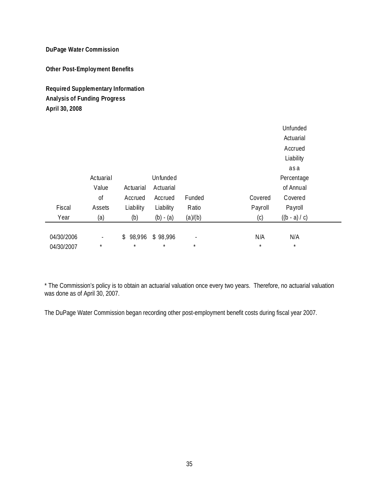**Other Post-Employment Benefits**

## **Required Supplementary Information Analysis of Funding Progress April 30, 2008**

|            |           |           |             |                |         | Unfunded        |  |
|------------|-----------|-----------|-------------|----------------|---------|-----------------|--|
|            |           |           |             |                |         | Actuarial       |  |
|            |           |           |             |                |         | Accrued         |  |
|            |           |           |             |                |         | Liability       |  |
|            |           |           |             |                |         | as a            |  |
|            | Actuarial |           | Unfunded    |                |         | Percentage      |  |
|            | Value     | Actuarial | Actuarial   |                |         | of Annual       |  |
|            | 0f        | Accrued   | Accrued     | Funded         | Covered | Covered         |  |
| Fiscal     | Assets    | Liability | Liability   | Ratio          | Payroll | Payroll         |  |
| Year       | (a)       | (b)       | $(b) - (a)$ | (a)/(b)        | (c)     | $((b - a) / c)$ |  |
|            |           |           |             |                |         |                 |  |
| 04/30/2006 | ٠         | \$98,996  | \$98,996    | $\overline{a}$ | N/A     | N/A             |  |
| 04/30/2007 | $\star$   | $\star$   | $\star$     | $\star$        | $\star$ | $\star$         |  |

\* The Commission's policy is to obtain an actuarial valuation once every two years. Therefore, no actuarial valuation was done as of April 30, 2007.

The DuPage Water Commission began recording other post-employment benefit costs during fiscal year 2007.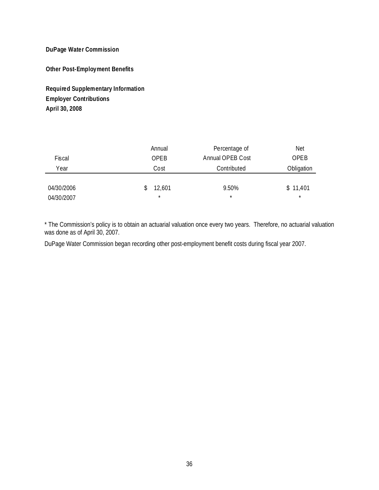**Other Post-Employment Benefits**

**Required Supplementary Information Employer Contributions April 30, 2008**

|            | Annual  | Percentage of    | <b>Net</b> |
|------------|---------|------------------|------------|
| Fiscal     | OPEB    | Annual OPEB Cost | OPEB       |
| Year       | Cost    | Contributed      | Obligation |
|            |         |                  |            |
| 04/30/2006 | 12,601  | 9.50%            | \$11,401   |
| 04/30/2007 | $\star$ | $\star$          | $\star$    |

\* The Commission's policy is to obtain an actuarial valuation once every two years. Therefore, no actuarial valuation was done as of April 30, 2007.

DuPage Water Commission began recording other post-employment benefit costs during fiscal year 2007.